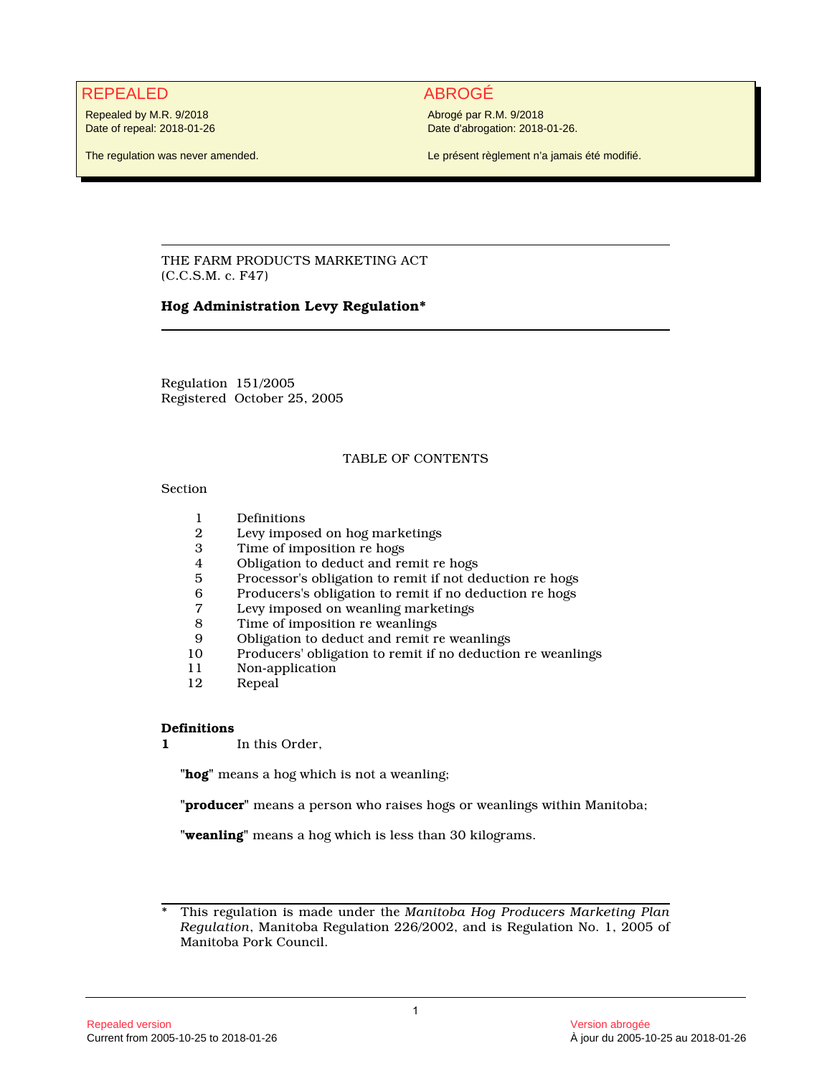# REPEALED ABROGÉ

Repealed by M.R. 9/2018 Date of repeal: 2018-01-26

The regulation was never amended.

Abrogé par R.M. 9/2018 Date d'abrogation: 2018-01-26.

Le présent règlement n'a jamais été modifié.

THE FARM PRODUCTS MARKETING ACT (C.C.S.M. c. F47)

# **Hog Administration Levy Regulation\***

Regulation 151/2005 Registered October 25, 2005

# TABLE OF CONTENTS

#### Section

- 
- 1 Definitions<br>2 Levy impos 2 Levy imposed on hog marketings<br>3 Time of imposition re hogs
- Time of imposition re hogs
- 4 Obligation to deduct and remit re hogs<br>5 Processor's obligation to remit if not de
- 5 Processor's obligation to remit if not deduction re hogs
- 6 Producers's obligation to remit if no deduction re hogs
- 7 Levy imposed on weanling marketings<br>8 Time of imposition re weanlings
- Time of imposition re weanlings
- 9 Obligation to deduct and remit re weanlings<br>10 Producers' obligation to remit if no deduction
- 10 Producers' obligation to remit if no deduction re weanlings
- 11 Non-application<br>12 Repeal
- Repeal

## **Definitions**

**1** In this Order,

**"hog"** means a hog which is not a weanling;

**"producer"** means a person who raises hogs or weanlings within Manitoba;

**"weanling"** means a hog which is less than 30 kilograms.

\* This regulation is made under the *Manitoba Hog Producers Marketing Plan Regulation*, Manitoba Regulation 226/2002, and is Regulation No. 1, 2005 of Manitoba Pork Council.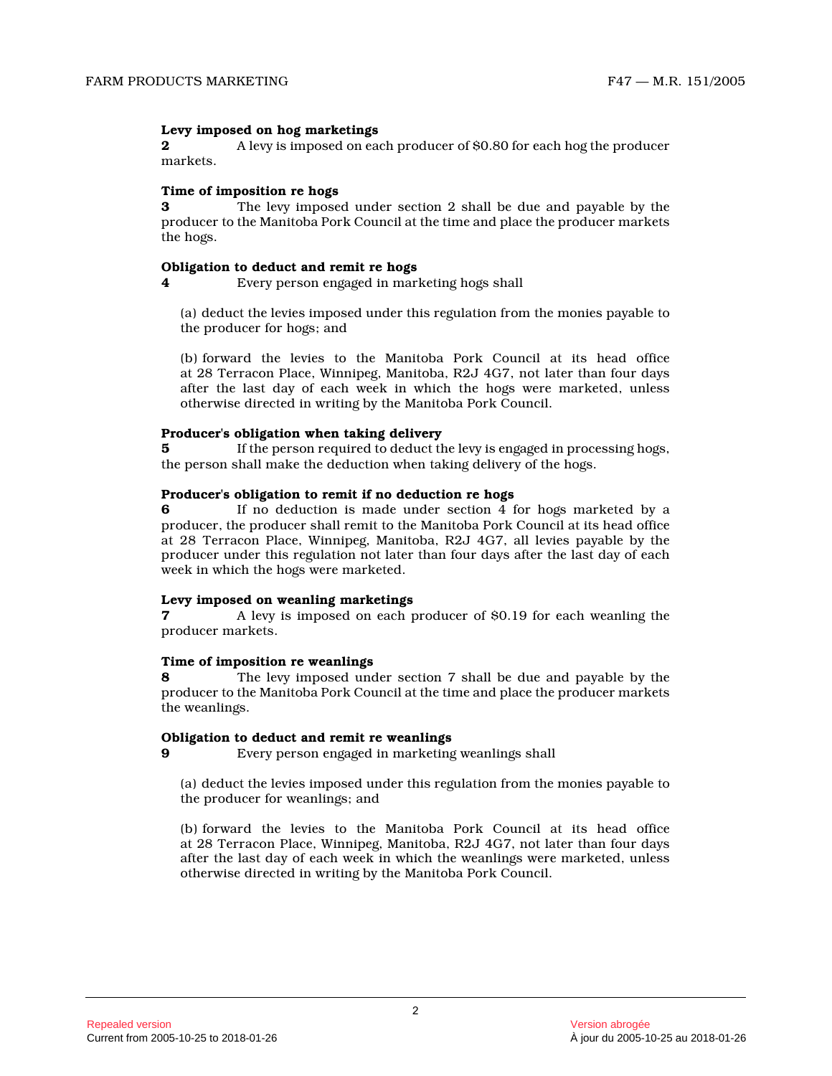### **Levy imposed on hog marketings**

**2** A levy is imposed on each producer of \$0.80 for each hog the producer markets.

#### **Time of imposition re hogs**

**3** The levy imposed under section 2 shall be due and payable by the producer to the Manitoba Pork Council at the time and place the producer markets the hogs.

### **Obligation to deduct and remit re hogs**

**4** Every person engaged in marketing hogs shall

(a) deduct the levies imposed under this regulation from the monies payable to the producer for hogs; and

(b) forward the levies to the Manitoba Pork Council at its head office at 28 Terracon Place, Winnipeg, Manitoba, R2J 4G7, not later than four days after the last day of each week in which the hogs were marketed, unless otherwise directed in writing by the Manitoba Pork Council.

#### **Producer's obligation when taking delivery**

**5** If the person required to deduct the levy is engaged in processing hogs, the person shall make the deduction when taking delivery of the hogs.

#### **Producer's obligation to remit if no deduction re hogs**

**6** If no deduction is made under section 4 for hogs marketed by a producer, the producer shall remit to the Manitoba Pork Council at its head office at 28 Terracon Place, Winnipeg, Manitoba, R2J 4G7, all levies payable by the producer under this regulation not later than four days after the last day of each week in which the hogs were marketed.

## **Levy imposed on weanling marketings**

**7** A levy is imposed on each producer of \$0.19 for each weanling the producer markets.

## **Time of imposition re weanlings**

**8** The levy imposed under section 7 shall be due and payable by the producer to the Manitoba Pork Council at the time and place the producer markets the weanlings.

#### **Obligation to deduct and remit re weanlings**

**9** Every person engaged in marketing weanlings shall

(a) deduct the levies imposed under this regulation from the monies payable to the producer for weanlings; and

(b) forward the levies to the Manitoba Pork Council at its head office at 28 Terracon Place, Winnipeg, Manitoba, R2J 4G7, not later than four days after the last day of each week in which the weanlings were marketed, unless otherwise directed in writing by the Manitoba Pork Council.